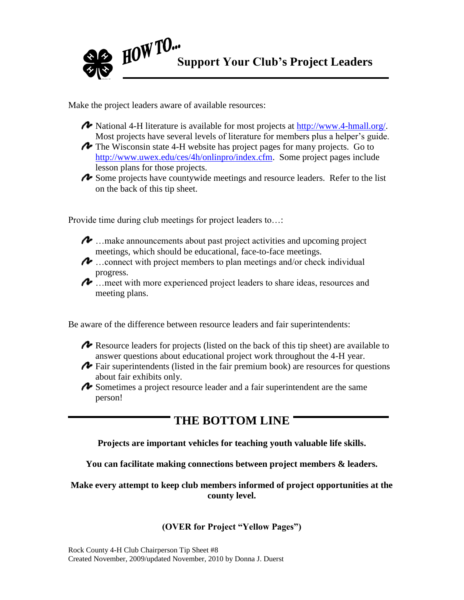

Make the project leaders aware of available resources:

- National 4-H literature is available for most projects at [http://www.4-hmall.org/.](http://www.4-hmall.org/) Most projects have several levels of literature for members plus a helper's guide.
- The Wisconsin state 4-H website has project pages for many projects. Go to [http://www.uwex.edu/ces/4h/onlinpro/index.cfm.](http://www.uwex.edu/ces/4h/onlinpro/index.cfm) Some project pages include lesson plans for those projects.
- Some projects have countywide meetings and resource leaders. Refer to the list on the back of this tip sheet.

Provide time during club meetings for project leaders to…:

- $\sim$  ... make announcements about past project activities and upcoming project meetings, which should be educational, face-to-face meetings.
- $\rightarrow$  ...connect with project members to plan meetings and/or check individual progress.
- …meet with more experienced project leaders to share ideas, resources and meeting plans.

Be aware of the difference between resource leaders and fair superintendents:

- Resource leaders for projects (listed on the back of this tip sheet) are available to answer questions about educational project work throughout the 4-H year.
- Fair superintendents (listed in the fair premium book) are resources for questions about fair exhibits only.
- Sometimes a project resource leader and a fair superintendent are the same person!

# **THE BOTTOM LINE**

#### **Projects are important vehicles for teaching youth valuable life skills.**

**You can facilitate making connections between project members & leaders.**

**Make every attempt to keep club members informed of project opportunities at the county level.**

## **(OVER for Project "Yellow Pages")**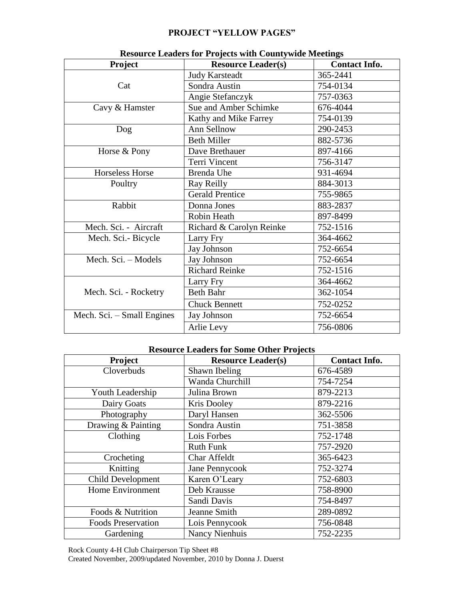### **PROJECT "YELLOW PAGES"**

| <b>Project</b>             | resource Leaders for Frojects with County while interings<br><b>Resource Leader(s)</b> | <b>Contact Info.</b> |
|----------------------------|----------------------------------------------------------------------------------------|----------------------|
| Cat                        | <b>Judy Karsteadt</b>                                                                  | 365-2441             |
|                            | Sondra Austin                                                                          | 754-0134             |
|                            | Angie Stefanczyk                                                                       | 757-0363             |
| Cavy & Hamster             | Sue and Amber Schimke                                                                  | 676-4044             |
|                            | Kathy and Mike Farrey                                                                  | 754-0139             |
| Dog                        | Ann Sellnow                                                                            | 290-2453             |
|                            | <b>Beth Miller</b>                                                                     | 882-5736             |
| Horse & Pony               | Dave Brethauer                                                                         | 897-4166             |
|                            | Terri Vincent                                                                          | 756-3147             |
| Horseless Horse            | Brenda Uhe                                                                             | 931-4694             |
| Poultry                    | Ray Reilly                                                                             | 884-3013             |
|                            | <b>Gerald Prentice</b>                                                                 | 755-9865             |
| Rabbit                     | Donna Jones                                                                            | 883-2837             |
|                            | Robin Heath                                                                            | 897-8499             |
| Mech. Sci. - Aircraft      | Richard & Carolyn Reinke                                                               | 752-1516             |
| Mech. Sci.- Bicycle        | Larry Fry                                                                              | 364-4662             |
|                            | Jay Johnson                                                                            | 752-6654             |
| Mech. Sci. - Models        | Jay Johnson                                                                            | 752-6654             |
|                            | <b>Richard Reinke</b>                                                                  | 752-1516             |
| Mech. Sci. - Rocketry      | Larry Fry                                                                              | 364-4662             |
|                            | <b>Beth Bahr</b>                                                                       | 362-1054             |
|                            | <b>Chuck Bennett</b>                                                                   | 752-0252             |
| Mech. Sci. - Small Engines | Jay Johnson                                                                            | 752-6654             |
|                            | Arlie Levy                                                                             | 756-0806             |

### **Resource Leaders for Projects with Countywide Meetings**

#### **Resource Leaders for Some Other Projects**

| Project                   | <b>Resource Leader(s)</b> | <b>Contact Info.</b> |
|---------------------------|---------------------------|----------------------|
| Cloverbuds                | Shawn Ibeling             | 676-4589             |
|                           | Wanda Churchill           | 754-7254             |
| Youth Leadership          | Julina Brown              | 879-2213             |
| Dairy Goats               | Kris Dooley               | 879-2216             |
| Photography               | Daryl Hansen              | 362-5506             |
| Drawing & Painting        | Sondra Austin             | 751-3858             |
| Clothing                  | Lois Forbes               | 752-1748             |
|                           | <b>Ruth Funk</b>          | 757-2920             |
| Crocheting                | Char Affeldt              | 365-6423             |
| Knitting                  | Jane Pennycook            | 752-3274             |
| Child Development         | Karen O'Leary             | 752-6803             |
| <b>Home Environment</b>   | Deb Krausse               | 758-8900             |
|                           | Sandi Davis               | 754-8497             |
| Foods & Nutrition         | Jeanne Smith              | 289-0892             |
| <b>Foods Preservation</b> | Lois Pennycook            | 756-0848             |
| Gardening                 | <b>Nancy Nienhuis</b>     | 752-2235             |

Rock County 4-H Club Chairperson Tip Sheet #8

Created November, 2009/updated November, 2010 by Donna J. Duerst